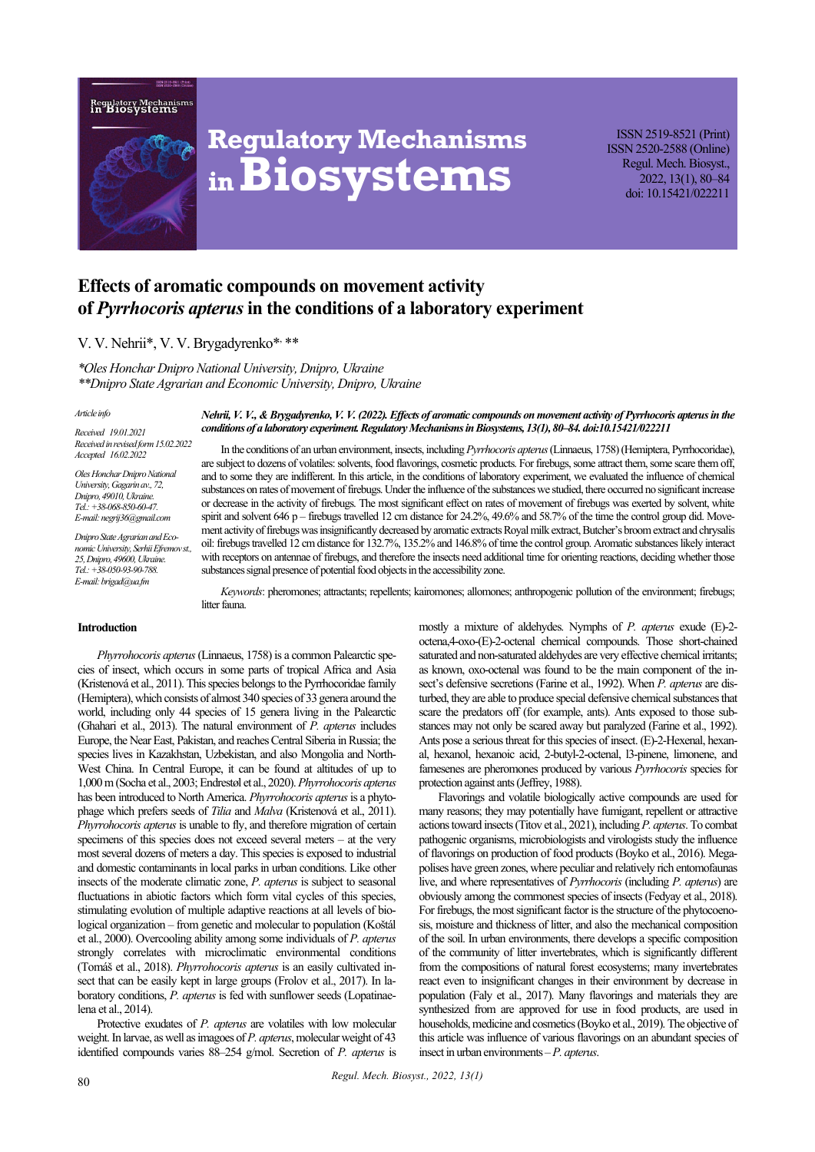



# **Regulatory Mechanisms inBiosystems**

ISSN 2519-8521 (Print) ISSN 2520-2588 (Online) Regul. Mech. Biosyst., 2022, 13(1), 80–84 doi: 10.15421/022211

## **Effects of aromatic compounds on movement activity of** *Pyrrhocoris apterus***in the conditions of a laboratory experiment**

### V. V. Nehrii\*, V. V. Brygadyrenko\*, \*\*

*\*Oles Honchar Dnipro National University, Dnipro, Ukraine \*\*Dnipro State Agrarian and Economic University, Dnipro, Ukraine* 

#### *Article info*

*Received 19.01.2021 Received in revised form 15.02.2022 Accepted 16.02.2022*

*Oles Honchar Dnipro National University, Gagarin av., 72, Dnipro, 49010, Ukraine. Tel.: +38-068-850-60-47. E-mail: negrij36@gmail.com* 

*Dnipro State Agrarian and Economic University, Serhii Efremov st., 25, Dnipro, 49600, Ukraine. Tel.: +38-050-93-90-788. Е-mail: brigad@ua.fm*

*Nehrii, V. V., & Brygadyrenko,V. V.(2022). Effects of aromatic compounds on movement activity of Pyrrhocoris apterus in the conditions of a laboratory experiment. Regulatory Mechanisms in Biosystems, 13(1), 80–84. doi:10.15421/022211*

In the conditions of an urban environment, insects, including *Pyrrhocoris apterus*(Linnaeus, 1758) (Hemiptera, Pyrrhocoridae), are subject to dozens of volatiles: solvents, food flavorings, cosmetic products. For firebugs, some attract them, some scare them off, and to some they are indifferent. In this article, in the conditions of laboratory experiment, we evaluated the influence of chemical substances on rates of movement of firebugs. Under the influence of the substances we studied, there occurred no significant increase or decrease in the activity of firebugs. The most significant effect on rates of movement of firebugs was exerted by solvent, white spirit and solvent 646 p – firebugs travelled 12 cm distance for 24.2%, 49.6% and 58.7% of the time the control group did. Movement activity of firebugs was insignificantly decreased by aromatic extracts Royаl milk extract, Butcher's broom extract and chrysalis oil: firebugs travelled 12 cm distance for 132.7%, 135.2% and 146.8% of time the control group. Aromatic substances likely interact with receptors on antennae of firebugs, and therefore the insects need additional time for orienting reactions, deciding whether those substances signal presence of potential food objects in the accessibility zone.

*Keywords*: pheromones; attractants; repellents; kairomones; allomones; anthropogenic pollution of the environment; firebugs; litter fauna.

#### **Introduction**

*Phyrrohocoris apterus*(Linnaeus, 1758) is a common Palearctic species of insect, which occurs in some parts of tropical Africa and Asia (Kristenová et al., 2011). This species belongs to the Pyrrhocoridae family (Hemiptera), which consists of almost 340 species of 33 genera around the world, including only 44 species of 15 genera living in the Palearctic (Ghahari et al., 2013). The natural environment of *P. apterus* includes Europe, the Near East, Pakistan, and reaches Central Siberia in Russia; the species lives in Kazakhstan, Uzbekistan, and also Mongolia and North-West China. In Central Europe, it can be found at altitudes of up to 1,000m (Socha et al., 2003; Endrestøl et al., 2020). *Phyrrohocoris apterus* has been introduced to North America. *Phyrrohocoris apterus*is a phytophage which prefers seeds of *Tilia* and *Malva* (Kristenová et al., 2011). *Phyrrohocoris apterus* is unable to fly, and therefore migration of certain specimens of this species does not exceed several meters – at the very most several dozens of meters a day. This species is exposed to industrial and domestic contaminants in local parks in urban conditions. Like other insects of the moderate climatic zone, *P. apterus* is subject to seasonal fluctuations in abiotic factors which form vital cycles of this species, stimulating evolution of multiple adaptive reactions at all levels of biological organization – from genetic and molecular to population (Koštál et al., 2000). Overcooling ability among some individuals of *P. apterus* strongly correlates with microclimatic environmental conditions (Tomáš et al., 2018). *Phyrrohocoris apterus* is an easily cultivated insect that can be easily kept in large groups (Frolov et al., 2017). In laboratory conditions, *P. apterus* is fed with sunflower seeds (Lopatinaelena et al., 2014).

Protective exudates of *P. apterus* are volatiles with low molecular weight. In larvae, as well as imagoes of *P. apterus*, molecular weight of 43 identified compounds varies 88–254 g/mol. Secretion of *P. apterus* is mostly a mixture of aldehydes. Nymphs of *P. apterus* exude (E)-2 octena,4-oxo-(E)-2-octenal chemical compounds. Those short-chained saturated and non-saturated aldehydes are very effective chemical irritants; as known, oxo-octenal was found to be the main component of the insect's defensive secretions (Farine et al., 1992). When *P. apterus* are disturbed, they are able to produce special defensive chemical substances that scare the predators off (for example, ants). Ants exposed to those substances may not only be scared away but paralyzed (Farine et al., 1992). Ants pose a serious threat for this species of insect. (E)-2-Hexenal, hexanal, hexanol, hexanoic acid, 2-butyl-2-octenal, l3-pinene, limonene, and famesenes are pheromones produced by various *Pyrrhocoris* species for protection against ants (Jeffrey, 1988).

Flavorings and volatile biologically active compounds are used for many reasons; they may potentially have fumigant, repellent or attractive actions toward insects (Titov et al., 2021), including *P. apterus*. To combat pathogenic organisms, microbiologists and virologists study the influence of flavorings on production of food products (Boyko et al., 2016). Megapolises have green zones, where peculiar and relatively rich entomofaunas live, and where representatives of *Pyrrhocoris* (including *P. apterus*) are obviously among the commonest species of insects (Fedyay et al., 2018). For firebugs, the most significant factor is the structure of the phytocoenosis, moisture and thickness of litter, and also the mechanical composition of the soil. In urban environments, there develops a specific composition of the community of litter invertebrates, which is significantly different from the compositions of natural forest ecosystems; many invertebrates react even to insignificant changes in their environment by decrease in population (Faly et al., 2017). Many flavorings and materials they are synthesized from are approved for use in food products, are used in households, medicine and cosmetics (Boyko et al., 2019). The objective of this article was influence of various flavorings on an abundant species of insect in urban environments –*P. apterus*.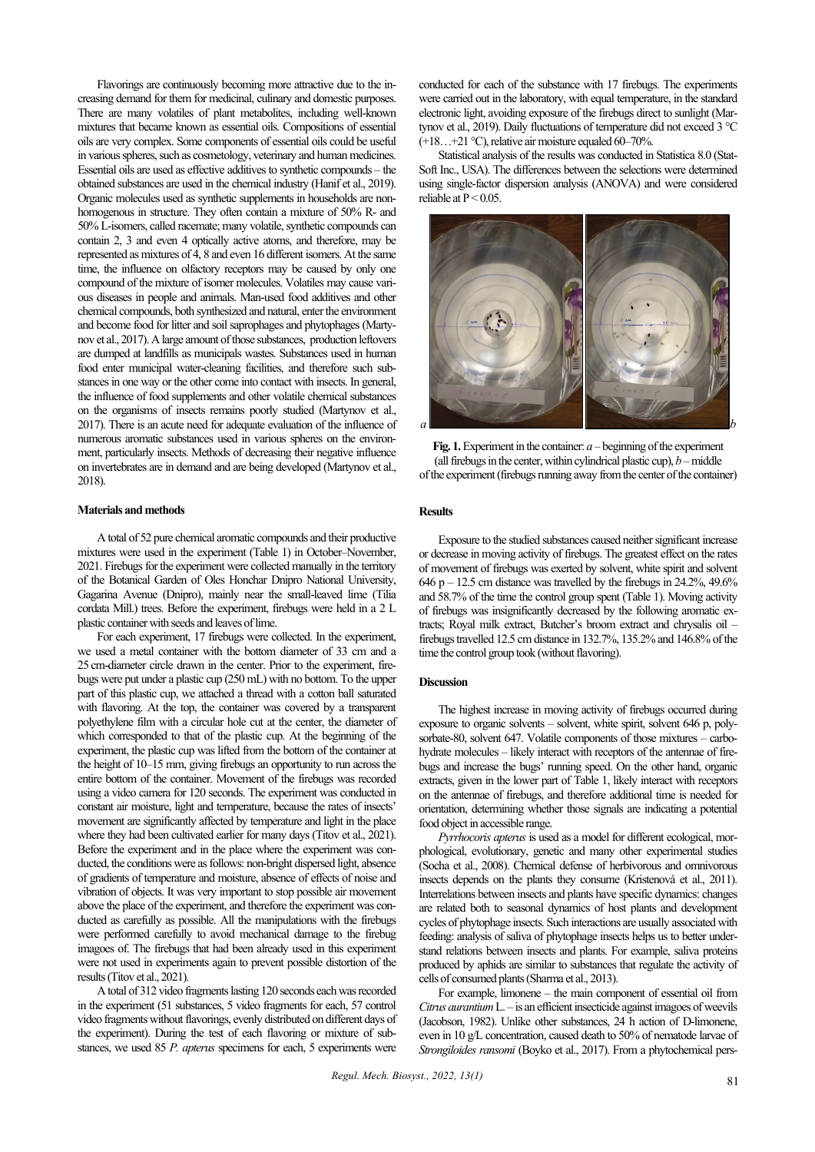Flavorings are continuously becoming more attractive due to the increasing demand for them for medicinal, culinary and domestic purposes. There are many volatiles of plant metabolites, including well-known mixtures that became known as essential oils. Compositions of essential oils are very complex. Some components of essential oils could be useful in various spheres, such as cosmetology, veterinary and human medicines. Essential oils are used as effective additives to synthetic compounds – the obtained substances are used in the chemical industry (Hanif et al., 2019). Organic molecules used as synthetic supplements in households are nonhomogenous in structure. They often contain a mixture of 50% R- and 50% L-isomers, called racemate; many volatile, synthetic compounds can contain 2, 3 and even 4 optically active atoms, and therefore, may be represented as mixtures of 4, 8 and even 16 different isomers. At the same time, the influence on olfactory receptors may be caused by only one compound of the mixture of isomer molecules. Volatiles may cause various diseases in people and animals. Man-used food additives and other chemical compounds, both synthesized and natural, enter the environment and become food for litter and soil saprophages and phytophages (Martynov et al., 2017). A large amount of those substances, production leftovers are dumped at landfills as municipals wastes. Substances used in human food enter municipal water-cleaning facilities, and therefore such substances in one way or the other come into contact with insects. In general, the influence of food supplements and other volatile chemical substances on the organisms of insects remains poorly studied (Martynov et al., 2017). There is an acute need for adequate evaluation of the influence of numerous aromatic substances used in various spheres on the environment, particularly insects. Methods of decreasing their negative influence on invertebrates are in demand and are being developed (Martynov et al., 2018).

#### **Materials and methods**

A total of 52 pure chemical aromatic compounds and their productive mixtures were used in the experiment (Table 1) in October–November, 2021. Firebugs for the experiment were collected manually in the territory of the Botanical Garden of Oles Honchar Dnipro National University, Gagarina Avenue (Dnipro), mainly near the small-leaved lime (Tilia cordata Mill.) trees. Before the experiment, firebugs were held in a 2 L plastic container with seeds and leaves of lime.

For each experiment, 17 firebugs were collected. In the experiment, we used a metal container with the bottom diameter of 33 cm and a 25 cm-diameter circle drawn in the center. Prior to the experiment, firebugs were put under a plastic cup (250 mL) with no bottom. To the upper part of this plastic cup, we attached a thread with a cotton ball saturated with flavoring. At the top, the container was covered by a transparent polyethylene film with a circular hole cut at the center, the diameter of which corresponded to that of the plastic cup. At the beginning of the experiment, the plastic cup was lifted from the bottom of the container at the height of 10–15 mm, giving firebugs an opportunity to run across the entire bottom of the container. Movement of the firebugs was recorded using a video camera for 120 seconds. The experiment was conducted in constant air moisture, light and temperature, because the rates of insects' movement are significantly affected by temperature and light in the place where they had been cultivated earlier for many days (Titov et al., 2021). Before the experiment and in the place where the experiment was conducted, the conditions were as follows: non-bright dispersed light, absence of gradients of temperature and moisture, absence of effects of noise and vibration of objects. It was very important to stop possible air movement above the place of the experiment, and therefore the experiment was conducted as carefully as possible. All the manipulations with the firebugs were performed carefully to avoid mechanical damage to the firebug imagoes of. The firebugs that had been already used in this experiment were not used in experiments again to prevent possible distortion of the results (Titov et al., 2021).

A total of 312 video fragments lasting 120 seconds each was recorded in the experiment (51 substances, 5 video fragments for each, 57 control video fragments without flavorings, evenly distributed on different days of the experiment). During the test of each flavoring or mixture of substances, we used 85 *P. apterus* specimens for each, 5 experiments were conducted for each of the substance with 17 firebugs. The experiments were carried out in the laboratory, with equal temperature, in the standard electronic light, avoiding exposure of the firebugs direct to sunlight (Martynov et al., 2019). Daily fluctuations of temperature did not exceed 3 °С (+18…+21 °С), relative air moisture equaled 60–70%.

Statistical analysis of the results was conducted in Statistica 8.0 (Stat-Soft Inc., USA). The differences between the selections were determined using single-factor dispersion analysis (ANOVA) and were considered reliable at  $P < 0.05$ .



**Fig. 1.**Experiment in the container: *a* – beginning of the experiment (all firebugs in the center, within cylindrical plastic cup),  $b$  – middle of the experiment (firebugs running away from the center of the container)

#### **Results**

Exposure to the studied substances caused neither significant increase or decrease in moving activity of firebugs. The greatest effect on the rates of movement of firebugs was exerted by solvent, white spirit and solvent 646 p – 12.5 cm distance was travelled by the firebugs in  $24.2\%$ , 49.6% and 58.7% of the time the control group spent (Table 1). Moving activity of firebugs was insignificantly decreased by the following aromatic extracts; Royаl milk extract, Butcher's broom extract and chrysalis oil – firebugs travelled 12.5 cm distance in 132.7%, 135.2% and 146.8% of the time the control group took (without flavoring).

#### **Discussion**

The highest increase in moving activity of firebugs occurred during exposure to organic solvents – solvent, white spirit, solvent 646 p, polysorbate-80, solvent 647. Volatile components of those mixtures – carbohydrate molecules – likely interact with receptors of the antennae of firebugs and increase the bugs' running speed. On the other hand, organic extracts, given in the lower part of Table 1, likely interact with receptors on the antennae of firebugs, and therefore additional time is needed for orientation, determining whether those signals are indicating a potential food object in accessible range.

*Pyrrhocoris apterus* is used as a model for different ecological, morphological, evolutionary, genetic and many other experimental studies (Socha et al., 2008). Chemical defense of herbivorous and omnivorous insects depends on the plants they consume (Kristenová et al., 2011). Interrelations between insects and plants have specific dynamics: changes are related both to seasonal dynamics of host plants and development cycles of phytophage insects. Such interactions are usually associated with feeding: analysis of saliva of phytophage insects helps us to better understand relations between insects and plants. For example, saliva proteins produced by aphids are similar to substances that regulate the activity of cells of consumed plants (Sharma et al., 2013).

For example, limonene – the main component of essential oil from *Citrus aurantium*L. – is an efficient insecticide against imagoes of weevils (Jacobson, 1982). Unlike other substances, 24 h action of D-limonene, even in 10 g/L concentration, caused death to 50% of nematode larvae of *Strongiloides ransomi* (Boyko et al., 2017). From a phytochemical pers-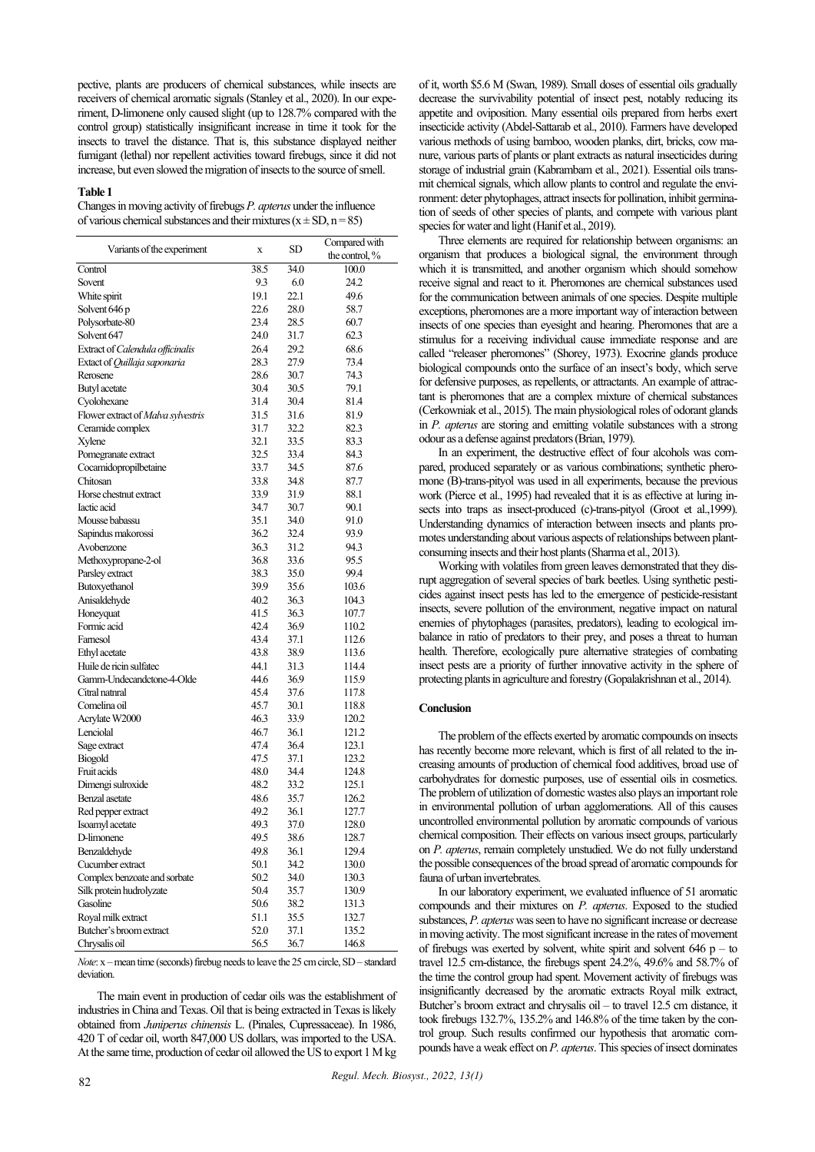pective, plants are producers of chemical substances, while insects are receivers of chemical aromatic signals (Stanley et al., 2020). In our experiment, D-limonene only caused slight (up to 128.7% compared with the control group) statistically insignificant increase in time it took for the insects to travel the distance. That is, this substance displayed neither fumigant (lethal) nor repellent activities toward firebugs, since it did not increase, but even slowed the migration of insects to the source of smell.

#### **Table 1**

Changes in moving activity of firebugs *P. apterus* under the influence of various chemical substances and their mixtures ( $x \pm SD$ ,  $n = 85$ )

| Variants of the experiment         | X    | SD   | Compared with     |
|------------------------------------|------|------|-------------------|
|                                    |      |      | the control, $\%$ |
| Control                            | 38.5 | 34.0 | 100.0             |
| Sovent                             | 9.3  | 6.0  | 24.2              |
| White spirit                       | 19.1 | 22.1 | 49.6              |
| Solvent 646 p                      | 22.6 | 28.0 | 58.7              |
| Polysorbate-80                     | 23.4 | 28.5 | 60.7              |
| Solvent 647                        | 24.0 | 31.7 | 62.3              |
| Extract of Calendula officinalis   | 26.4 | 29.2 | 68.6              |
| Extact of Quillaja saponaria       | 28.3 | 27.9 | 73.4              |
| Rerosene                           | 28.6 | 30.7 | 74.3              |
| Butyl acetate                      | 30.4 | 30.5 | 79.1              |
| Cyolohexane                        | 31.4 | 30.4 | 81.4              |
| Flower extract of Malva sylvestris | 31.5 | 31.6 | 81.9              |
| Ceramide complex                   | 31.7 | 32.2 | 82.3              |
| Xylene                             | 32.1 | 33.5 | 83.3              |
| Pomegranate extract                | 32.5 | 33.4 | 84.3              |
| Cocamidopropilbetaine              | 33.7 | 34.5 | 87.6              |
| Chitosan                           | 33.8 | 34.8 | 87.7              |
| Horse chestnut extract             | 33.9 | 31.9 | 88.1              |
| Iactic acid                        | 34.7 | 30.7 | 90.1              |
| Mousse babassu                     | 35.1 | 34.0 | 91.0              |
| Sapindus makorossi                 | 36.2 | 32.4 | 93.9              |
| Avobenzone                         | 36.3 | 31.2 | 94.3              |
| Methoxypropane-2-ol                | 36.8 | 33.6 | 95.5              |
| Parsley extract                    | 38.3 | 35.0 | 99.4              |
| Butoxyethanol                      | 39.9 | 35.6 | 103.6             |
| Anisaldehyde                       | 40.2 | 36.3 | 104.3             |
| Honeyquat                          | 41.5 | 36.3 | 107.7             |
| Formic acid                        | 42.4 | 36.9 | 110.2             |
| Farnesol                           | 43.4 | 37.1 | 112.6             |
| Ethyl acetate                      | 43.8 | 38.9 | 113.6             |
| Huile de ricin sulfatec            | 44.1 | 31.3 | 114.4             |
| Gamm-Undecandctone-4-Olde          | 44.6 | 36.9 | 115.9             |
| Citral natnral                     | 45.4 | 37.6 | 117.8             |
| Comelina oil                       | 45.7 | 30.1 | 118.8             |
| Acrylate W2000                     | 46.3 | 33.9 | 120.2             |
| Lenciolal                          | 46.7 | 36.1 | 121.2             |
| Sage extract                       | 47.4 | 36.4 | 123.1             |
| Biogold                            | 47.5 | 37.1 | 123.2             |
| Fruit acids                        | 48.0 | 34.4 | 124.8             |
| Dimengi sulroxide                  | 48.2 | 33.2 | 125.1             |
| Benzal asetate                     | 48.6 | 35.7 | 126.2             |
| Red pepper extract                 | 49.2 | 36.1 | 127.7             |
| Isoamyl acetate                    | 49.3 | 37.0 | 128.0             |
| D-limonene                         | 49.5 | 38.6 | 128.7             |
| Benzaldehyde                       | 49.8 | 36.1 | 129.4             |
| Cucumber extract                   | 50.1 | 34.2 | 130.0             |
| Complex benzoate and sorbate       | 50.2 | 34.0 | 130.3             |
| Silk protein hudrolyzate           | 50.4 | 35.7 | 130.9             |
| Gasoline                           | 50.6 | 38.2 | 131.3             |
| Royal milk extract                 | 51.1 | 35.5 | 132.7             |
| Butcher's broom extract            | 52.0 | 37.1 | 135.2             |
| Chrysalis oil                      | 56.5 | 36.7 | 146.8             |
|                                    |      |      |                   |

*Note*: x –mean time (seconds) firebug needs to leave the 25 cm circle, SD – standard deviation

The main event in production of cedar oils was the establishment of industries in China and Texas. Oil that is being extracted in Texas is likely obtained from *Juniperus chinensis* L. (Pinales, Cupressaceae). In 1986, 420 T of cedar oil, worth 847,000 US dollars, was imported to the USA. At the same time, production of cedar oil allowed the US to export 1 M kg

of it, worth \$5.6 M (Swan, 1989). Small doses of essential oils gradually decrease the survivability potential of insect pest, notably reducing its appetite and oviposition. Many essential oils prepared from herbs exert insecticide activity (Abdel-Sattarab et al., 2010). Farmers have developed various methods of using bamboo, wooden planks, dirt, bricks, cow manure, various parts of plants or plant extracts as natural insecticides during storage of industrial grain (Kabrambam et аl., 2021). Essential oils transmit chemical signals, which allow plants to control and regulate the environment: deter phytophages, attract insects for pollination, inhibit germination of seeds of other species of plants, and compete with various plant species for water and light (Hanif et al., 2019).

Three elements are required for relationship between organisms: an organism that produces a biological signal, the environment through which it is transmitted, and another organism which should somehow receive signal and react to it. Pheromones are chemical substances used for the communication between animals of one species. Despite multiple exceptions, pheromones are a more important way of interaction between insects of one species than eyesight and hearing. Pheromones that are a stimulus for a receiving individual cause immediate response and are called "releaser pheromones" (Shorey, 1973). Exocrine glands produce biological compounds onto the surface of an insect's body, which serve for defensive purposes, as repellents, or attractants. An example of attractant is pheromones that are a complex mixture of chemical substances (Cerkowniak et аl., 2015). The main physiological roles of odorant glands in *P. apterus* are storing and emitting volatile substances with a strong odour as a defense against predators (Brian, 1979).

In an experiment, the destructive effect of four alcohols was compared, produced separately or as various combinations; synthetic pheromone (B)-trans-pityol was used in all experiments, because the previous work (Pierce et al., 1995) had revealed that it is as effective at luring insects into traps as insect-produced (c)-trans-pityol (Groot et al., 1999). Understanding dynamics of interaction between insects and plants promotes understanding about various aspects of relationships between plantconsuming insects and their host plants (Sharma et al., 2013).

Working with volatiles from green leaves demonstrated that they disrupt aggregation of several species of bark beetles. Using synthetic pesticides against insect pests has led to the emergence of pesticide-resistant insects, severe pollution of the environment, negative impact on natural enemies of phytophages (parasites, predators), leading to ecological imbalance in ratio of predators to their prey, and poses a threat to human health. Therefore, ecologically pure alternative strategies of combating insect pests are a priority of further innovative activity in the sphere of protecting plants in agriculture and forestry (Gopalakrishnan et аl., 2014).

#### **Conclusion**

The problem of the effects exerted by aromatic compounds on insects has recently become more relevant, which is first of all related to the increasing amounts of production of chemical food additives, broad use of carbohydrates for domestic purposes, use of essential oils in cosmetics. The problem of utilization of domestic wastes also plays an important role in environmental pollution of urban agglomerations. All of this causes uncontrolled environmental pollution by aromatic compounds of various chemical composition. Their effects on various insect groups, particularly on *P. apterus*, remain completely unstudied. We do not fully understand the possible consequences of the broad spread of aromatic compounds for fauna of urban invertebrates.

In our laboratory experiment, we evaluated influence of 51 aromatic compounds and their mixtures on *P. apterus*. Exposed to the studied substances, *P. apterus* was seen to have no significant increase or decrease in moving activity. The most significant increase in the rates of movement of firebugs was exerted by solvent, white spirit and solvent  $646$  p – to travel 12.5 cm-distance, the firebugs spent 24.2%, 49.6% and 58.7% of the time the control group had spent. Movement activity of firebugs was insignificantly decreased by the aromatic extracts Royаl milk extract, Butcher's broom extract and chrysalis oil – to travel 12.5 cm distance, it took firebugs 132.7%, 135.2% and 146.8% of the time taken by the control group. Such results confirmed our hypothesis that aromatic compounds have a weak effect on *P. apterus*. This species of insect dominates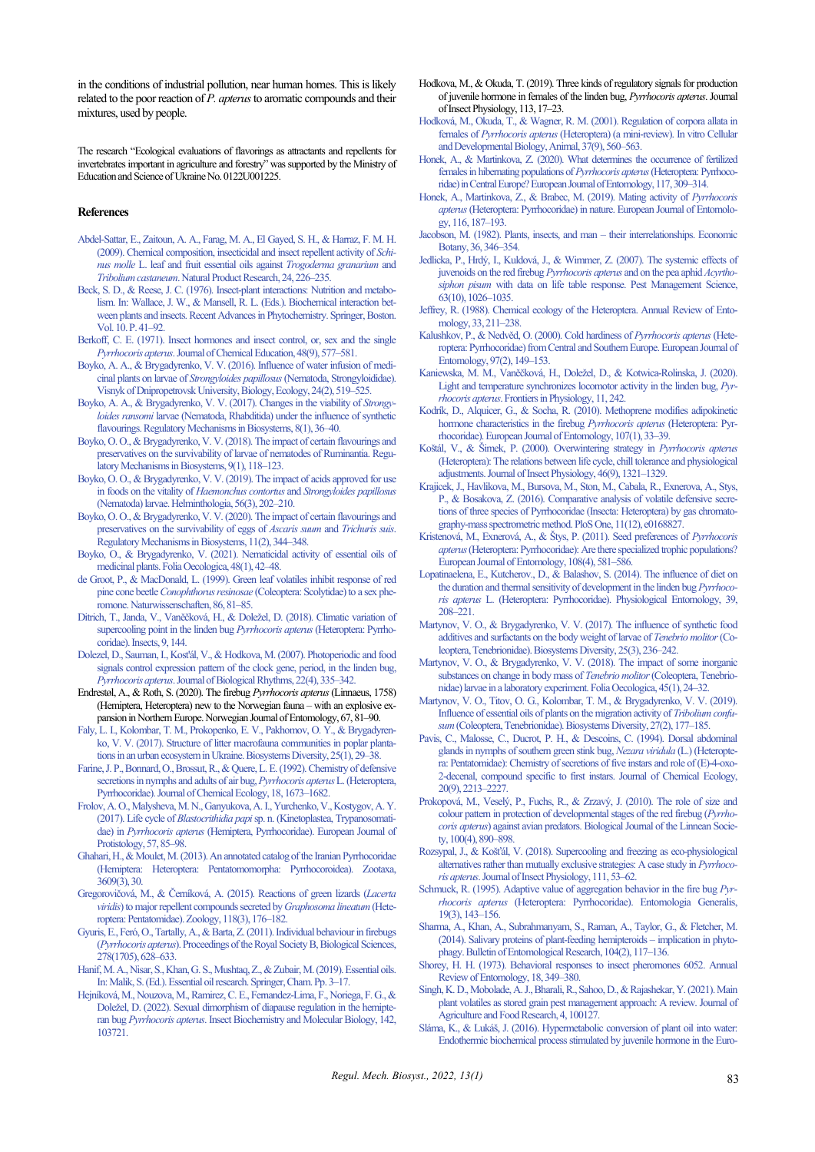in the conditions of industrial pollution, near human homes. This is likely related to the poor reaction of *P. apterus*to aromatic compounds and their mixtures, used by people.

The research "Ecological evaluations of flavorings as attractants and repellents for invertebrates important in agriculture and forestry" was supported by the Ministry of Education and Science of Ukraine No. 0122U001225.

#### **References**

- [Abdel-Sattar, E., Zaitoun, A. A., Farag, M.](http://doi.org/10.1080/14786410802346223) A., El Gayed, S. H., & Harraz, F. M. H. [\(2009\). Chemical composition, insecticidal and insect repellent activity of](http://doi.org/10.1080/14786410802346223) *Schinus molle* [L. leaf and fruit essential oils against](http://doi.org/10.1080/14786410802346223) *Trogoderma granarium* and *Tribolium castaneum*[. Natural Product Research, 24, 226–235.](http://doi.org/10.1080/14786410802346223)
- [Beck, S. D., & Reese, J. C. \(1976\). Insect-plant interactions: Nutrition and metabo](http://doi.org/10.1007/978-1-4684-2646-5_2)[lism. In: Wallace, J. W., & Mansell, R. L. \(Eds.\). Biochemical interaction bet](http://doi.org/10.1007/978-1-4684-2646-5_2)[ween plants and insects. Recent Advances in Phytochemistry. Springer, Boston.](http://doi.org/10.1007/978-1-4684-2646-5_2)  Vol. 10. P. 41–92.
- [Berkoff, C. E. \(1971\). Insect hormones and insect control, or, sex and the single](http://doi.org/10.1021/ed048p577)  *Pyrrhocoris apterus*[. Journal of Chemical Education, 48\(9\), 577–581.](http://doi.org/10.1021/ed048p577)
- [Boyko, A. A., & Brygadyrenko, V. V. \(2016\). Influence of water infusion of medi](http://doi.org/10.15421/011670)cinal plants on larvae of *Strongyloides papillosus*[\(Nematoda, Strongyloididae\).](http://doi.org/10.15421/011670)  [Visnyk of Dnipropetrovsk University,Biology, Ecology, 24\(2\), 519–525.](http://doi.org/10.15421/011670)
- [Boyko, A. A., & Brygadyrenko, V. V. \(2017\). Changes in the viability of](http://doi.org/10.15421/021707) *Strongyloides ransomi* [larvae \(Nematoda, Rhabditida\) under the influence of synthetic](http://doi.org/10.15421/021707)  [flavourings. Regulatory Mechanisms in Biosystems, 8\(1\), 36–40.](http://doi.org/10.15421/021707)
- [Boyko, O. O., & Brygadyrenko, V. V. \(2018\). The impact of certain flavourings and](http://doi.org/10.15421/021817)  [preservatives on the survivability of larvae of nematodes of Ruminantia. Regu](http://doi.org/10.15421/021817)[latory Mechanisms in Biosystems, 9\(1\), 118–123.](http://doi.org/10.15421/021817)
- [Boyko, O. O., & Brygadyrenko, V. V. \(2019\). The impact of acids approved for use](http://doi.org/10.2478/helm-2019-0017)  [in foods on the vitality of](http://doi.org/10.2478/helm-2019-0017) *Haemonchus contortus* and *Strongyloides papillosus* [\(Nematoda\) larvae. Helminthologia, 56\(3\), 202–210.](http://doi.org/10.2478/helm-2019-0017)
- [Boyko, O. O., & Brygadyrenko, V. V. \(2020\). The impact of certain flavourings and](http://doi.org/10.15421/022052)  [preservatives on the survivability of eggs of](http://doi.org/10.15421/022052) *Ascaris suum* and *Trichuris suis*. [RegulatoryMechanisms in Biosystems, 11\(2\), 344–348.](http://doi.org/10.15421/022052)
- [Boyko, O., & Brygadyrenko, V. \(2021\). Nematicidal activity of essential oils of](http://doi.org/10.2478/foecol-2021-0005)  [medicinal plants. Folia Oecologica, 48\(1\), 42–48.](http://doi.org/10.2478/foecol-2021-0005)
- [de Groot, P., & MacDonald, L. \(1999\). Green leaf volatiles inhibit response of red](http://doi.org/10.1007/s001140050576)  pine cone beetle *Conophthorus resinosae* [\(Coleoptera: Scolytidae\) to a sex phe](http://doi.org/10.1007/s001140050576)[romone. Naturwissenschaften, 86, 81–85.](http://doi.org/10.1007/s001140050576)
- [Ditrich, T., Janda, V., Vaněčková, H., & Doležel, D. \(2018\). Climatic variation of](http://doi.org/10.3390/insects9040144)  [supercooling point in the linden bug](http://doi.org/10.3390/insects9040144) *Pyrrhocoris apterus*(Heteroptera: Pyrrho[coridae\). Insects, 9, 144.](http://doi.org/10.3390/insects9040144)
- [Dolezel, D., Sauman, I., Kost'ál, V., & Hodkova, M. \(2007\). Photoperiodic and food](http://doi.org/10.1177/0748730407303624)  [signals control expression pattern of the clock gene, period, in the linden bug,](http://doi.org/10.1177/0748730407303624)  *Pyrrhocoris apterus*[. Journal of Biological Rhythms, 22\(4\), 335–342.](http://doi.org/10.1177/0748730407303624)
- Endrestøl, A., & Roth, S. (2020). The firebug *Pyrrhocoris apterus*(Linnaeus, 1758) (Hemiptera, Heteroptera) new to the Norwegian fauna – with an explosive expansion in Northern Europe. Norwegian Journal of Entomology, 67, 81–90.
- [Faly, L. I., Kolombar, T. M., Prokopenko, E. V., Pakhomov, O. Y., & Brygadyren](http://doi.org/10.15421/011705)[ko, V. V. \(2017\). Structure of litter macrofauna communities in poplar planta](http://doi.org/10.15421/011705)[tions in an urban ecosystem in Ukraine. Biosystems Diversity, 25\(1\), 29–38.](http://doi.org/10.15421/011705)
- [Farine, J. P., Bonnard, О., Brossut, R., & Quere, L. E. \(1992\). Chemistry of defensive](http://doi.org/10.1007/BF02751094)  [secretions in nymphs and adults of air bug,](http://doi.org/10.1007/BF02751094) *Pyrrhocoris apterus*L. (Heteroptera, [Pyrrhocoridae\). Journal of Chemical Ecology, 18, 1673–1682.](http://doi.org/10.1007/BF02751094)
- [Frolov, A. O., Malysheva, M. N., Ganyukova, A. I., Yurchenko, V., Kostygov, A. Y.](http://doi.org/10.1016/j.ejop.2016.10.007)  (2017). Life cycle of *Blastocrithidia papi*[sp. n. \(Kinetoplastea, Trypanosomati](http://doi.org/10.1016/j.ejop.2016.10.007)dae) in *Pyrrhocoris apterus* [\(Hemiptera, Pyrrhocoridae\). European Journal of](http://doi.org/10.1016/j.ejop.2016.10.007)  [Protistology, 57, 85–98.](http://doi.org/10.1016/j.ejop.2016.10.007)
- [Ghahari, H., & Moulet, M. \(2013\). An annotated catalog of the Iranian Pyrrhocoridae](http://doi.org/10.11646/zootaxa.3609.3.8)  [\(Hemiptera: Heteroptera: Pentatomomorpha: Pyrrhocoroidea\). Zootaxa,](http://doi.org/10.11646/zootaxa.3609.3.8)  [3609\(3\), 30.](http://doi.org/10.11646/zootaxa.3609.3.8)
- [Gregorovičová, M., & Černíková, A. \(2015\). Reactions of green lizards \(](http://doi.org/10.1016/j.zool.2015.02.001)*Lacerta viridis*[\) to major repellent compounds secreted by](http://doi.org/10.1016/j.zool.2015.02.001) *Graphosoma lineatum*(Hete[roptera: Pentatomidae\). Zoology, 118\(3\), 176–182.](http://doi.org/10.1016/j.zool.2015.02.001)
- [Gyuris, E., Feró, O., Tartally, A., & Barta, Z. \(2011\). Individual behaviour in firebugs](http://doi.org/10.1098/rspb.2010.1326)  (*Pyrrhocoris apterus*[\). Proceedings of the Royal Society B, Biological Sciences,](http://doi.org/10.1098/rspb.2010.1326)  [278\(1705\), 628–633.](http://doi.org/10.1098/rspb.2010.1326)
- [Hanif, M. A., Nisar, S., Khan, G. S., Mushtaq, Z., & Zubair, M. \(2019\). Essential oils.](http://doi.org/10.1007/978-3-030-16546-8_1)  [In: Malik, S. \(Ed.\). Essential oil research. Springer, Cham. Pp. 3–17.](http://doi.org/10.1007/978-3-030-16546-8_1)
- [Hejníková, M., Nouzova, M., Ramirez, C. E., Fernandez-Lima, F., Noriega, F. G., &](http://doi.org/10.1016/j.ibmb.2022.103721)  [Doležel, D. \(2022\). Sexual dimorphism of diapause regulation in the hemipt](http://doi.org/10.1016/j.ibmb.2022.103721)eran bug *Pyrrhocoris apterus*[. Insect Biochemistry and Molecular Biology, 142,](http://doi.org/10.1016/j.ibmb.2022.103721)  [103721.](http://doi.org/10.1016/j.ibmb.2022.103721)
- Hodkova, M., & Okuda, T. (2019). Three kinds of regulatory signals for production of juvenile hormone in females of the linden bug, *Pyrrhocoris apterus*. Journal of Insect Physiology, 113, 17–23.
- [Hodková, M., Okuda, T., & Wagner, R. M. \(2001\). Regulation of corpora allata in](http://doi.org/10.1290/1071-2690(2001)037%3c0560:ROCAIF%3e2.0.CO;2)  females of *Pyrrhocoris apterus* [\(Heteroptera\) \(a mini-review\). In vitro Cellular](http://doi.org/10.1290/1071-2690(2001)037%3c0560:ROCAIF%3e2.0.CO;2)  [and Developmental Biology, Animal, 37\(9\), 560–563.](http://doi.org/10.1290/1071-2690(2001)037%3c0560:ROCAIF%3e2.0.CO;2)
- [Honek, A., & Martinkova, Z. \(2020\). What determines the occurrence of fertilized](http://doi.org/10.14411/eje.2020.036)  [females in hibernating populations of](http://doi.org/10.14411/eje.2020.036) *Pyrrhocoris apterus*(Heteroptera: Pyrrhoco[ridae\) in Central Europe? European Journal of Entomology, 117, 309–314.](http://doi.org/10.14411/eje.2020.036)
- [Honek, A., Martinkova, Z., & Brabec, M. \(2019\). Mating activity of](http://doi.org/10.14411/eje.2019.020) *Pyrrhocoris apterus*[\(Heteroptera: Pyrrhocoridae\) in nature. European Journal of Entomolo](http://doi.org/10.14411/eje.2019.020)[gy, 116, 187–193.](http://doi.org/10.14411/eje.2019.020)
- [Jacobson, M. \(1982\). Plants, insects, and man –](http://doi.org/10.1007/BF02858560) their interrelationships. Economic [Botany, 36, 346–354.](http://doi.org/10.1007/BF02858560)
- [Jedlicka, P., Hrdý, I., Kuldová, J., & Wimmer, Z. \(2007\). The systemic effects of](http://doi.org/10.1002/ps.1435)  [juvenoids on the red firebug](http://doi.org/10.1002/ps.1435) *Pyrrhocoris apterus* and on the pea aphid *Acyrthosiphon pisum* [with data on life table response. Pest Management Science,](http://doi.org/10.1002/ps.1435)  [63\(10\), 1026–1035.](http://doi.org/10.1002/ps.1435)
- [Jeffrey, R. \(1988\). Chemical ecology of the Heteroptera. Annual Review of Ento](http://doi.org/10.1146/annurev.en.33.010188.001235)[mology, 33, 211–238.](http://doi.org/10.1146/annurev.en.33.010188.001235)
- [Kalushkov, P., & Nedvěd, O. \(2000\). Cold hardiness of](http://doi.org/10.14411/eje.2000.027) *Pyrrhocoris apterus*(Hete[roptera: Pyrrhocoridae\) from Central and Southern Europe. European Journal of](http://doi.org/10.14411/eje.2000.027)  [Entomology, 97\(2\), 149–153.](http://doi.org/10.14411/eje.2000.027)
- [Kaniewska, M. M., Vaněčková, H., Doležel, D., & Kotwica](http://doi.org/10.3389/fphys.2020.00242)-Rolinska, J. (2020). [Light and temperature synchronizes locomotor activity in the linden bug,](http://doi.org/10.3389/fphys.2020.00242) *Pyrrhocoris apterus*[. Frontiers in Physiology, 11, 242.](http://doi.org/10.3389/fphys.2020.00242)
- [Kodrík, D., Alquicer, G., & Socha, R. \(2010\). Methoprene modifies adipokinetic](http://doi.org/10.14411/eje.2010.003)  hormone [characteristics in the firebug](http://doi.org/10.14411/eje.2010.003) *Pyrrhocoris apterus* (Heteroptera: Pyr[rhocoridae\). European Journal of Entomology, 107\(1\), 33–39.](http://doi.org/10.14411/eje.2010.003)
- [Koštál, V., & Šimek, P. \(2000\). Overwintering strategy in](http://doi.org/10.1016/S0022-1910(00)00056-1) *Pyrrhocoris apterus* [\(Heteroptera\): The relations between life cycle, chill tolerance and physiological](http://doi.org/10.1016/S0022-1910(00)00056-1)  [adjustments. Journal of Insect Physiology, 46\(9\), 1321–1329.](http://doi.org/10.1016/S0022-1910(00)00056-1)
- [Krajicek, J., Havlikova, M., Bursova, M., Ston, M., Cabala, R., Exnerova, A., Stys,](http://doi.org/10.1371/journal.pone.0168827)  [P., & Bosakova, Z. \(2016\). Comparative analysis of volatile defensive secre](http://doi.org/10.1371/journal.pone.0168827)[tions of three species of Pyrrhocoridae \(Insecta: Heteroptera\) by gas chromato](http://doi.org/10.1371/journal.pone.0168827)[graphy-mass spectrometric method. PloS One, 11\(12\), e0168827.](http://doi.org/10.1371/journal.pone.0168827)
- [Kristenová, M., Exnerová, A., & Štys, P. \(2011\). Seed preferences of](http://doi.org/10.14411/eje.2011.075) *Pyrrhocoris apterus*[\(Heteroptera: Pyrrhocoridae\): Are there specialized trophic populations?](http://doi.org/10.14411/eje.2011.075)  [European Journal of Entomology, 108\(4\), 581–586.](http://doi.org/10.14411/eje.2011.075)
- [Lopatinaelena, E., Kutcherov., D., & Balashov, S. \(2014\). The influence of diet on](http://doi.org/10.1111/phen.12063)  [the duration and thermal sensitivity of development in the linden bug](http://doi.org/10.1111/phen.12063) *Pyrrhocoris apterus* [L. \(Heteroptera: Pyrrhocoridae\). Physiological Entomology, 39,](http://doi.org/10.1111/phen.12063)  [208–221.](http://doi.org/10.1111/phen.12063)
- [Martynov, V. O., & Brygadyrenko, V. V. \(2017\). The influence of synthetic food](http://doi.org/10.15421/011736)  [additives and surfactants on the body weight of larvae of](http://doi.org/10.15421/011736) *Tenebrio molitor*(Co[leoptera, Tenebrionidae\). Biosystems Diversity, 25\(3\), 236–242.](http://doi.org/10.15421/011736)
- [Martynov, V. O., & Brygadyrenko, V. V. \(2018\). The impact of some inorganic](http://doi.org/10.2478/foecol-2018-0003)  [substances on change in body mass of](http://doi.org/10.2478/foecol-2018-0003) *Tenebrio molitor* (Coleoptera, Tenebrio[nidae\) larvae in a laboratory experiment. Folia Oecologica, 45\(1\), 24–32.](http://doi.org/10.2478/foecol-2018-0003)
- [Martynov, V. O., Titov, O. G., Kolombar, T. M., & Brygadyrenko, V. V. \(2019\).](http://doi.org/10.15421/011924)  [Influence of essential oils of plants on the migration activity of](http://doi.org/10.15421/011924) *Tribolium confusum*[\(Coleoptera, Tenebrionidae\). Biosystems Diversity, 27\(2\), 177–185.](http://doi.org/10.15421/011924)
- [Pavis, C., Malosse, C., Ducrot, P. H., & Descoins, C. \(1994\). Dorsal abdominal](http://doi.org/10.1007/BF02033198)  [glands in nymphs of southern green stink bug,](http://doi.org/10.1007/BF02033198) *Nezara viridula* (L.) (Heteropte[ra: Pentatomidae\): Chemistry of secretions of five instars and role of \(E\)-4-oxo-](http://doi.org/10.1007/BF02033198)[2-decenal, compound specific to first instars. Journal of Chemical Ecology,](http://doi.org/10.1007/BF02033198)  [20\(9\), 2213–2227.](http://doi.org/10.1007/BF02033198)
- [Prokopová, M., Veselý, P., Fuchs, R., & Zrzavý, J. \(2010\). The role of size and](http://doi.org/10.1111/j.1095-8312.2010.01463.x)  [colour pattern in protection of developmental stages of the red firebug \(](http://doi.org/10.1111/j.1095-8312.2010.01463.x)*Pyrrhocoris apterus*[\) against avian predators. Biological Journal of the Linnean Socie](http://doi.org/10.1111/j.1095-8312.2010.01463.x)[ty, 100\(4\), 890–898.](http://doi.org/10.1111/j.1095-8312.2010.01463.x)
- [Rozsypal, J., & Košťál, V. \(2018\). Supercooling and freezing as eco](http://doi.org/10.1016/j.jinsphys.2018.10.006)-physiological [alternatives rather than mutually exclusive strategies: A case study in](http://doi.org/10.1016/j.jinsphys.2018.10.006) *Pyrrhocoris apterus*[. Journal of Insect Physiology, 111, 53–62.](http://doi.org/10.1016/j.jinsphys.2018.10.006)
- [Schmuck, R. \(1995\). Adaptive value of aggregation behavior in the fire bug](http://doi.org/10.1127/entom.gen/19/1995/143) *Pyrrhocoris apterus* [\(Heteroptera: Pyrrhocoridae\). Entomologia Generalis,](http://doi.org/10.1127/entom.gen/19/1995/143)  [19\(3\), 143–156.](http://doi.org/10.1127/entom.gen/19/1995/143)
- [Sharma, A., Khan, A., Subrahmanyam, S., Raman, A., Taylor, G., & Fletcher, M.](http://doi.org/10.1017/S0007485313000618)  [\(2014\). Salivary proteins of plant-feeding hemipteroids –](http://doi.org/10.1017/S0007485313000618) implication in phyto[phagy. Bulletin of Entomological Research, 104\(2\), 117–136.](http://doi.org/10.1017/S0007485313000618)
- [Shorey, H. H. \(1973\). Behavioral responses to insect pheromones 6052. Annual](http://doi.org/10.1146/annurev.en.18.010173.002025)  [Review of Entomology, 18, 349–380.](http://doi.org/10.1146/annurev.en.18.010173.002025)
- [Singh, K. D., Mobolade, A. J., Bharali, R., Sahoo, D., & Rajashekar, Y. \(2021\). Main](http://doi.org/10.1016/j.jafr.2021.100127)  [plant volatiles as stored grain pest management approach: A review. Journal of](http://doi.org/10.1016/j.jafr.2021.100127)  [Agriculture and Food Research, 4, 100127.](http://doi.org/10.1016/j.jafr.2021.100127)
- [Sláma, K., & Lukáš, J. \(2016\). Hypermetabolic conversion of plant oil into water:](http://doi.org/10.4137/IJIS.S40566)  [Endothermic biochemical process stimulated by juvenile hormone in the Euro-](http://doi.org/10.4137/IJIS.S40566)